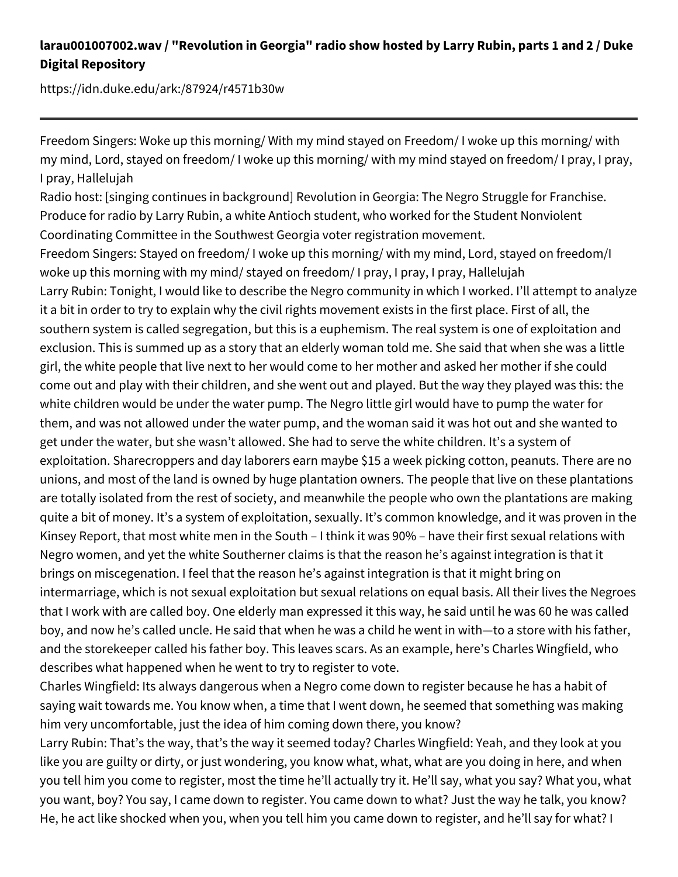## **larau001007002.wav / "Revolution in Georgia" radio show hosted by Larry Rubin, parts 1 and 2 / Duke Digital Repository**

https://idn.duke.edu/ark:/87924/r4571b30w

Freedom Singers: Woke up this morning/ With my mind stayed on Freedom/ I woke up this morning/ with my mind, Lord, stayed on freedom/ I woke up this morning/ with my mind stayed on freedom/ I pray, I pray, I pray, Hallelujah

Radio host: [singing continues in background] Revolution in Georgia: The Negro Struggle for Franchise. Produce for radio by Larry Rubin, a white Antioch student, who worked for the Student Nonviolent Coordinating Committee in the Southwest Georgia voter registration movement.

Freedom Singers: Stayed on freedom/ I woke up this morning/ with my mind, Lord, stayed on freedom/I woke up this morning with my mind/ stayed on freedom/ I pray, I pray, I pray, Hallelujah

Larry Rubin: Tonight, I would like to describe the Negro community in which I worked. I'll attempt to analyze it a bit in order to try to explain why the civil rights movement exists in the first place. First of all, the southern system is called segregation, but this is a euphemism. The real system is one of exploitation and exclusion. This is summed up as a story that an elderly woman told me. She said that when she was a little girl, the white people that live next to her would come to her mother and asked her mother if she could come out and play with their children, and she went out and played. But the way they played was this: the white children would be under the water pump. The Negro little girl would have to pump the water for them, and was not allowed under the water pump, and the woman said it was hot out and she wanted to get under the water, but she wasn't allowed. She had to serve the white children. It's a system of exploitation. Sharecroppers and day laborers earn maybe \$15 a week picking cotton, peanuts. There are no unions, and most of the land is owned by huge plantation owners. The people that live on these plantations are totally isolated from the rest of society, and meanwhile the people who own the plantations are making quite a bit of money. It's a system of exploitation, sexually. It's common knowledge, and it was proven in the Kinsey Report, that most white men in the South – I think it was 90% – have their first sexual relations with Negro women, and yet the white Southerner claims is that the reason he's against integration is that it brings on miscegenation. I feel that the reason he's against integration is that it might bring on intermarriage, which is not sexual exploitation but sexual relations on equal basis. All their lives the Negroes that I work with are called boy. One elderly man expressed it this way, he said until he was 60 he was called boy, and now he's called uncle. He said that when he was a child he went in with—to a store with his father, and the storekeeper called his father boy. This leaves scars. As an example, here's Charles Wingfield, who describes what happened when he went to try to register to vote.

Charles Wingfield: Its always dangerous when a Negro come down to register because he has a habit of saying wait towards me. You know when, a time that I went down, he seemed that something was making him very uncomfortable, just the idea of him coming down there, you know?

Larry Rubin: That's the way, that's the way it seemed today? Charles Wingfield: Yeah, and they look at you like you are guilty or dirty, or just wondering, you know what, what, what are you doing in here, and when you tell him you come to register, most the time he'll actually try it. He'll say, what you say? What you, what you want, boy? You say, I came down to register. You came down to what? Just the way he talk, you know? He, he act like shocked when you, when you tell him you came down to register, and he'll say for what? I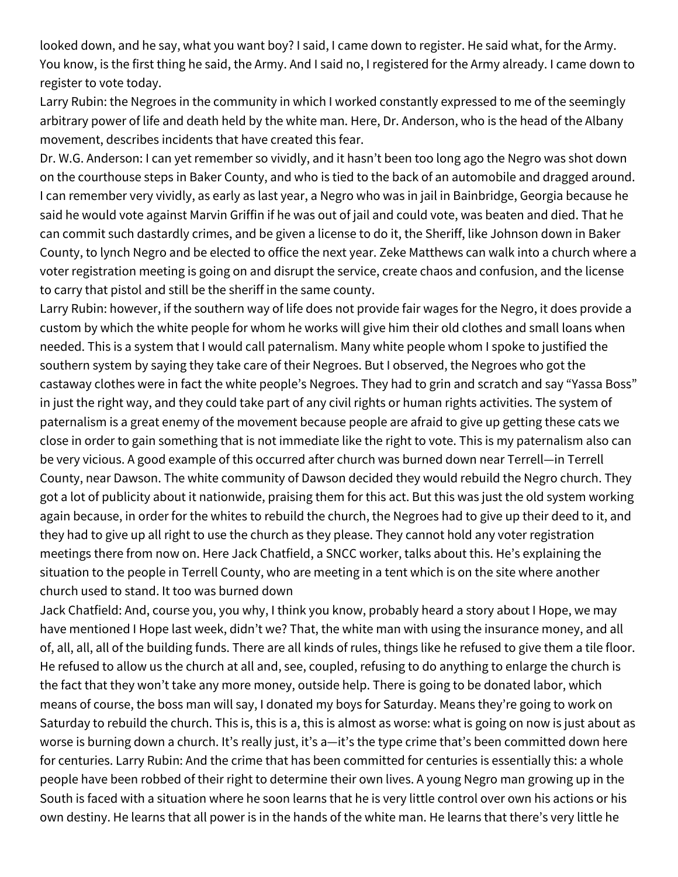looked down, and he say, what you want boy? I said, I came down to register. He said what, for the Army. You know, is the first thing he said, the Army. And I said no, I registered for the Army already. I came down to register to vote today.

Larry Rubin: the Negroes in the community in which I worked constantly expressed to me of the seemingly arbitrary power of life and death held by the white man. Here, Dr. Anderson, who is the head of the Albany movement, describes incidents that have created this fear.

Dr. W.G. Anderson: I can yet remember so vividly, and it hasn't been too long ago the Negro was shot down on the courthouse steps in Baker County, and who is tied to the back of an automobile and dragged around. I can remember very vividly, as early as last year, a Negro who was in jail in Bainbridge, Georgia because he said he would vote against Marvin Griffin if he was out of jail and could vote, was beaten and died. That he can commit such dastardly crimes, and be given a license to do it, the Sheriff, like Johnson down in Baker County, to lynch Negro and be elected to office the next year. Zeke Matthews can walk into a church where a voter registration meeting is going on and disrupt the service, create chaos and confusion, and the license to carry that pistol and still be the sheriff in the same county.

Larry Rubin: however, if the southern way of life does not provide fair wages for the Negro, it does provide a custom by which the white people for whom he works will give him their old clothes and small loans when needed. This is a system that I would call paternalism. Many white people whom I spoke to justified the southern system by saying they take care of their Negroes. But I observed, the Negroes who got the castaway clothes were in fact the white people's Negroes. They had to grin and scratch and say "Yassa Boss" in just the right way, and they could take part of any civil rights or human rights activities. The system of paternalism is a great enemy of the movement because people are afraid to give up getting these cats we close in order to gain something that is not immediate like the right to vote. This is my paternalism also can be very vicious. A good example of this occurred after church was burned down near Terrell—in Terrell County, near Dawson. The white community of Dawson decided they would rebuild the Negro church. They got a lot of publicity about it nationwide, praising them for this act. But this was just the old system working again because, in order for the whites to rebuild the church, the Negroes had to give up their deed to it, and they had to give up all right to use the church as they please. They cannot hold any voter registration meetings there from now on. Here Jack Chatfield, a SNCC worker, talks about this. He's explaining the situation to the people in Terrell County, who are meeting in a tent which is on the site where another church used to stand. It too was burned down

Jack Chatfield: And, course you, you why, I think you know, probably heard a story about I Hope, we may have mentioned I Hope last week, didn't we? That, the white man with using the insurance money, and all of, all, all, all of the building funds. There are all kinds of rules, things like he refused to give them a tile floor. He refused to allow us the church at all and, see, coupled, refusing to do anything to enlarge the church is the fact that they won't take any more money, outside help. There is going to be donated labor, which means of course, the boss man will say, I donated my boys for Saturday. Means they're going to work on Saturday to rebuild the church. This is, this is a, this is almost as worse: what is going on now is just about as worse is burning down a church. It's really just, it's a—it's the type crime that's been committed down here for centuries. Larry Rubin: And the crime that has been committed for centuries is essentially this: a whole people have been robbed of their right to determine their own lives. A young Negro man growing up in the South is faced with a situation where he soon learns that he is very little control over own his actions or his own destiny. He learns that all power is in the hands of the white man. He learns that there's very little he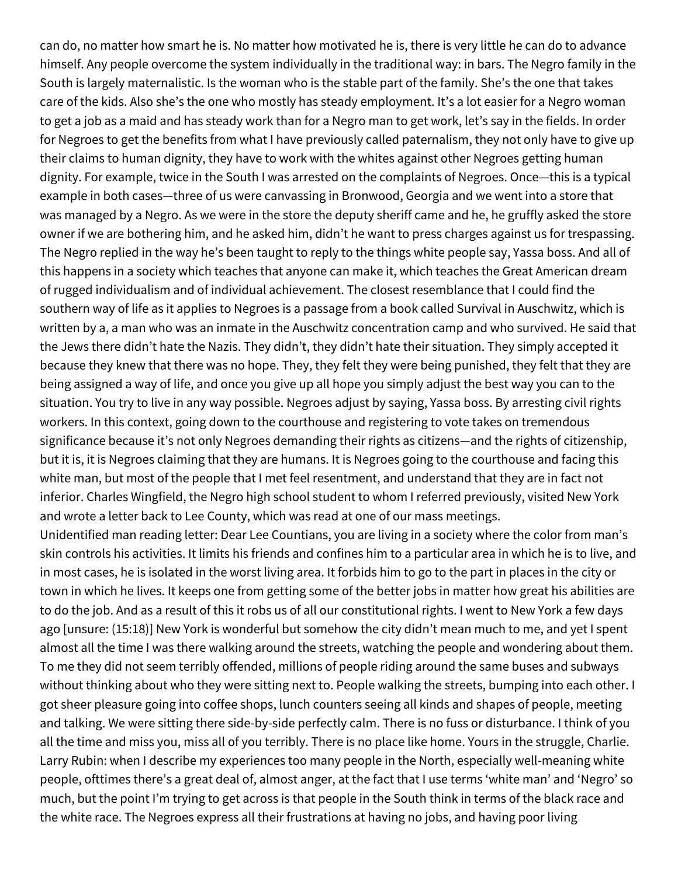can do, no matter how smart he is. No matter how motivated he is, there is very little he can do to advance himself. Any people overcome the system individually in the traditional way: in bars. The Negro family in the South is largely maternalistic. Is the woman who is the stable part of the family. She's the one that takes care of the kids. Also she's the one who mostly has steady employment. It's a lot easier for a Negro woman to get a job as a maid and has steady work than for a Negro man to get work, let's say in the fields. In order for Negroes to get the benefits from what I have previously called paternalism, they not only have to give up their claims to human dignity, they have to work with the whites against other Negroes getting human dignity. For example, twice in the South I was arrested on the complaints of Negroes. Once—this is a typical example in both cases—three of us were canvassing in Bronwood, Georgia and we went into a store that was managed by a Negro. As we were in the store the deputy sheriff came and he, he gruffly asked the store owner if we are bothering him, and he asked him, didn't he want to press charges against us for trespassing. The Negro replied in the way he's been taught to reply to the things white people say, Yassa boss. And all of this happens in a society which teaches that anyone can make it, which teaches the Great American dream of rugged individualism and of individual achievement. The closest resemblance that I could find the southern way of life as it applies to Negroes is a passage from a book called Survival in Auschwitz, which is written by a, a man who was an inmate in the Auschwitz concentration camp and who survived. He said that the Jews there didn't hate the Nazis. They didn't, they didn't hate their situation. They simply accepted it because they knew that there was no hope. They, they felt they were being punished, they felt that they are being assigned a way of life, and once you give up all hope you simply adjust the best way you can to the situation. You try to live in any way possible. Negroes adjust by saying, Yassa boss. By arresting civil rights workers. In this context, going down to the courthouse and registering to vote takes on tremendous significance because it's not only Negroes demanding their rights as citizens—and the rights of citizenship, but it is, it is Negroes claiming that they are humans. It is Negroes going to the courthouse and facing this white man, but most of the people that I met feel resentment, and understand that they are in fact not inferior. Charles Wingfield, the Negro high school student to whom I referred previously, visited New York and wrote a letter back to Lee County, which was read at one of our mass meetings. Unidentified man reading letter: Dear Lee Countians, you are living in a society where the color from man's skin controls his activities. It limits his friends and confines him to a particular area in which he is to live, and in most cases, he is isolated in the worst living area. It forbids him to go to the part in places in the city or town in which he lives. It keeps one from getting some of the better jobs in matter how great his abilities are to do the job. And as a result of this it robs us of all our constitutional rights. I went to New York a few days ago [unsure: (15:18)] New York is wonderful but somehow the city didn't mean much to me, and yet I spent almost all the time I was there walking around the streets, watching the people and wondering about them. To me they did not seem terribly offended, millions of people riding around the same buses and subways without thinking about who they were sitting next to. People walking the streets, bumping into each other. I got sheer pleasure going into coffee shops, lunch counters seeing all kinds and shapes of people, meeting and talking. We were sitting there side-by-side perfectly calm. There is no fuss or disturbance. I think of you all the time and miss you, miss all of you terribly. There is no place like home. Yours in the struggle, Charlie. Larry Rubin: when I describe my experiences too many people in the North, especially well-meaning white people, ofttimes there's a great deal of, almost anger, at the fact that I use terms 'white man' and 'Negro' so much, but the point I'm trying to get across is that people in the South think in terms of the black race and the white race. The Negroes express all their frustrations at having no jobs, and having poor living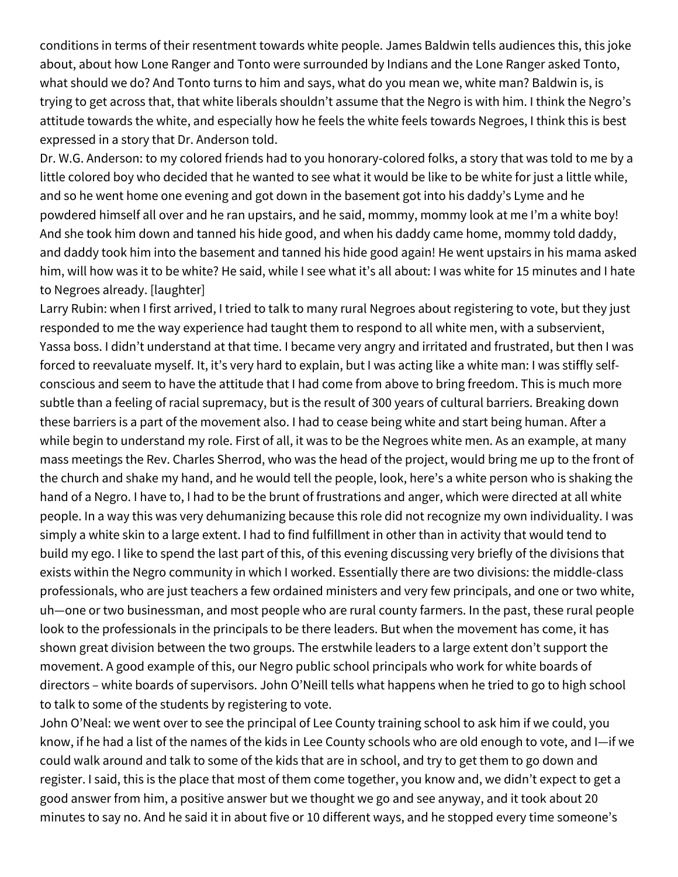conditions in terms of their resentment towards white people. James Baldwin tells audiences this, this joke about, about how Lone Ranger and Tonto were surrounded by Indians and the Lone Ranger asked Tonto, what should we do? And Tonto turns to him and says, what do you mean we, white man? Baldwin is, is trying to get across that, that white liberals shouldn't assume that the Negro is with him. I think the Negro's attitude towards the white, and especially how he feels the white feels towards Negroes, I think this is best expressed in a story that Dr. Anderson told.

Dr. W.G. Anderson: to my colored friends had to you honorary-colored folks, a story that was told to me by a little colored boy who decided that he wanted to see what it would be like to be white for just a little while, and so he went home one evening and got down in the basement got into his daddy's Lyme and he powdered himself all over and he ran upstairs, and he said, mommy, mommy look at me I'm a white boy! And she took him down and tanned his hide good, and when his daddy came home, mommy told daddy, and daddy took him into the basement and tanned his hide good again! He went upstairs in his mama asked him, will how was it to be white? He said, while I see what it's all about: I was white for 15 minutes and I hate to Negroes already. [laughter]

Larry Rubin: when I first arrived, I tried to talk to many rural Negroes about registering to vote, but they just responded to me the way experience had taught them to respond to all white men, with a subservient, Yassa boss. I didn't understand at that time. I became very angry and irritated and frustrated, but then I was forced to reevaluate myself. It, it's very hard to explain, but I was acting like a white man: I was stiffly selfconscious and seem to have the attitude that I had come from above to bring freedom. This is much more subtle than a feeling of racial supremacy, but is the result of 300 years of cultural barriers. Breaking down these barriers is a part of the movement also. I had to cease being white and start being human. After a while begin to understand my role. First of all, it was to be the Negroes white men. As an example, at many mass meetings the Rev. Charles Sherrod, who was the head of the project, would bring me up to the front of the church and shake my hand, and he would tell the people, look, here's a white person who is shaking the hand of a Negro. I have to, I had to be the brunt of frustrations and anger, which were directed at all white people. In a way this was very dehumanizing because this role did not recognize my own individuality. I was simply a white skin to a large extent. I had to find fulfillment in other than in activity that would tend to build my ego. I like to spend the last part of this, of this evening discussing very briefly of the divisions that exists within the Negro community in which I worked. Essentially there are two divisions: the middle-class professionals, who are just teachers a few ordained ministers and very few principals, and one or two white, uh—one or two businessman, and most people who are rural county farmers. In the past, these rural people look to the professionals in the principals to be there leaders. But when the movement has come, it has shown great division between the two groups. The erstwhile leaders to a large extent don't support the movement. A good example of this, our Negro public school principals who work for white boards of directors – white boards of supervisors. John O'Neill tells what happens when he tried to go to high school to talk to some of the students by registering to vote.

John O'Neal: we went over to see the principal of Lee County training school to ask him if we could, you know, if he had a list of the names of the kids in Lee County schools who are old enough to vote, and I—if we could walk around and talk to some of the kids that are in school, and try to get them to go down and register. I said, this is the place that most of them come together, you know and, we didn't expect to get a good answer from him, a positive answer but we thought we go and see anyway, and it took about 20 minutes to say no. And he said it in about five or 10 different ways, and he stopped every time someone's